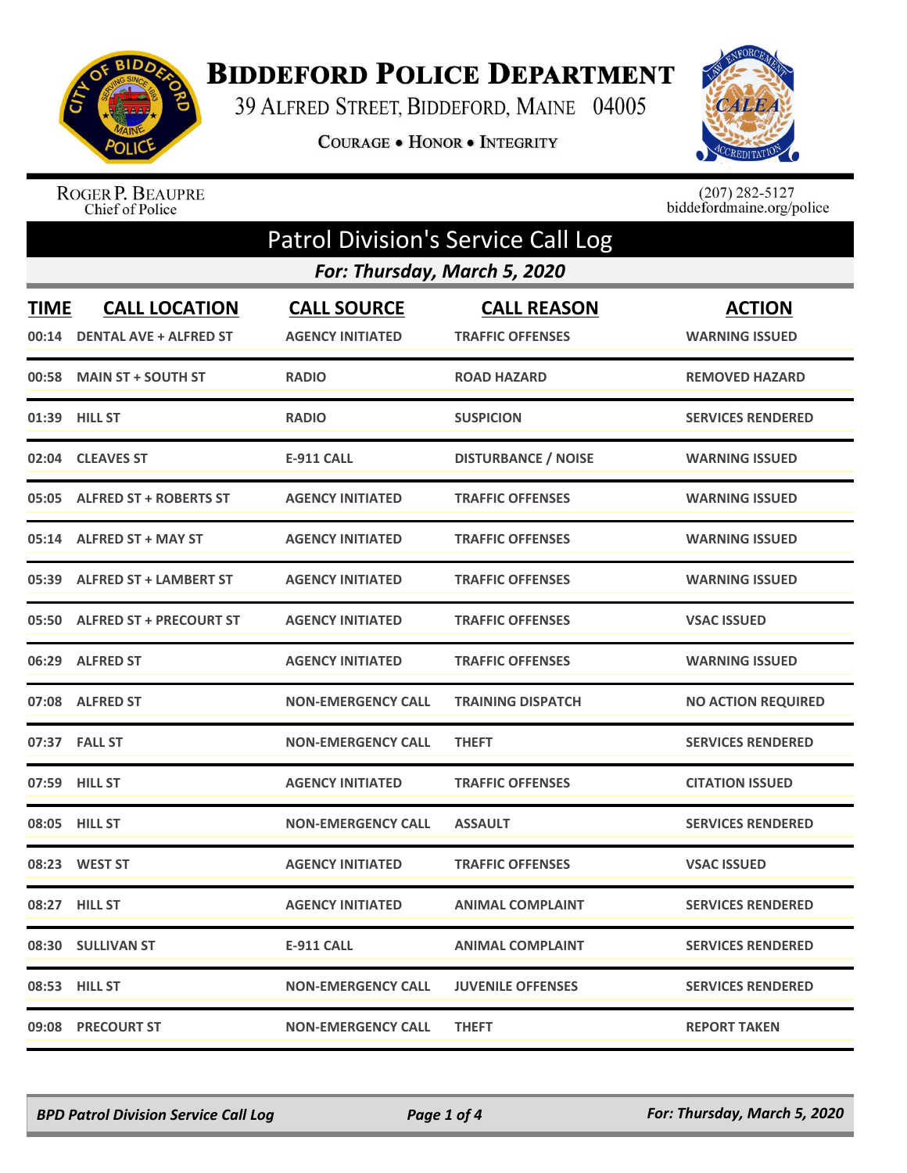

## **BIDDEFORD POLICE DEPARTMENT**

39 ALFRED STREET, BIDDEFORD, MAINE 04005

COURAGE . HONOR . INTEGRITY



ROGER P. BEAUPRE<br>Chief of Police

 $(207)$  282-5127<br>biddefordmaine.org/police

| <b>Patrol Division's Service Call Log</b> |                                                       |                                               |                                               |                                        |
|-------------------------------------------|-------------------------------------------------------|-----------------------------------------------|-----------------------------------------------|----------------------------------------|
|                                           |                                                       | For: Thursday, March 5, 2020                  |                                               |                                        |
| <b>TIME</b><br>00:14                      | <b>CALL LOCATION</b><br><b>DENTAL AVE + ALFRED ST</b> | <b>CALL SOURCE</b><br><b>AGENCY INITIATED</b> | <b>CALL REASON</b><br><b>TRAFFIC OFFENSES</b> | <b>ACTION</b><br><b>WARNING ISSUED</b> |
|                                           | 00:58 MAIN ST + SOUTH ST                              | <b>RADIO</b>                                  | <b>ROAD HAZARD</b>                            | <b>REMOVED HAZARD</b>                  |
|                                           | 01:39 HILL ST                                         | <b>RADIO</b>                                  | <b>SUSPICION</b>                              | <b>SERVICES RENDERED</b>               |
| 02:04                                     | <b>CLEAVES ST</b>                                     | <b>E-911 CALL</b>                             | <b>DISTURBANCE / NOISE</b>                    | <b>WARNING ISSUED</b>                  |
|                                           | 05:05 ALFRED ST + ROBERTS ST                          | <b>AGENCY INITIATED</b>                       | <b>TRAFFIC OFFENSES</b>                       | <b>WARNING ISSUED</b>                  |
| 05:14                                     | <b>ALFRED ST + MAY ST</b>                             | <b>AGENCY INITIATED</b>                       | <b>TRAFFIC OFFENSES</b>                       | <b>WARNING ISSUED</b>                  |
| 05:39                                     | <b>ALFRED ST + LAMBERT ST</b>                         | <b>AGENCY INITIATED</b>                       | <b>TRAFFIC OFFENSES</b>                       | <b>WARNING ISSUED</b>                  |
| 05:50                                     | <b>ALFRED ST + PRECOURT ST</b>                        | <b>AGENCY INITIATED</b>                       | <b>TRAFFIC OFFENSES</b>                       | <b>VSAC ISSUED</b>                     |
|                                           | 06:29 ALFRED ST                                       | <b>AGENCY INITIATED</b>                       | <b>TRAFFIC OFFENSES</b>                       | <b>WARNING ISSUED</b>                  |
|                                           | 07:08 ALFRED ST                                       | <b>NON-EMERGENCY CALL</b>                     | <b>TRAINING DISPATCH</b>                      | <b>NO ACTION REQUIRED</b>              |
|                                           | 07:37 FALL ST                                         | <b>NON-EMERGENCY CALL</b>                     | <b>THEFT</b>                                  | <b>SERVICES RENDERED</b>               |
|                                           | 07:59 HILL ST                                         | <b>AGENCY INITIATED</b>                       | <b>TRAFFIC OFFENSES</b>                       | <b>CITATION ISSUED</b>                 |
| 08:05                                     | <b>HILL ST</b>                                        | <b>NON-EMERGENCY CALL</b>                     | <b>ASSAULT</b>                                | <b>SERVICES RENDERED</b>               |
|                                           | 08:23 WEST ST                                         | <b>AGENCY INITIATED</b>                       | <b>TRAFFIC OFFENSES</b>                       | <b>VSAC ISSUED</b>                     |
|                                           | 08:27 HILL ST                                         | <b>AGENCY INITIATED</b>                       | <b>ANIMAL COMPLAINT</b>                       | <b>SERVICES RENDERED</b>               |
|                                           | 08:30 SULLIVAN ST                                     | E-911 CALL                                    | ANIMAL COMPLAINT                              | <b>SERVICES RENDERED</b>               |
|                                           | 08:53 HILL ST                                         | <b>NON-EMERGENCY CALL</b>                     | <b>JUVENILE OFFENSES</b>                      | <b>SERVICES RENDERED</b>               |
|                                           | 09:08 PRECOURT ST                                     | <b>NON-EMERGENCY CALL</b>                     | <b>THEFT</b>                                  | <b>REPORT TAKEN</b>                    |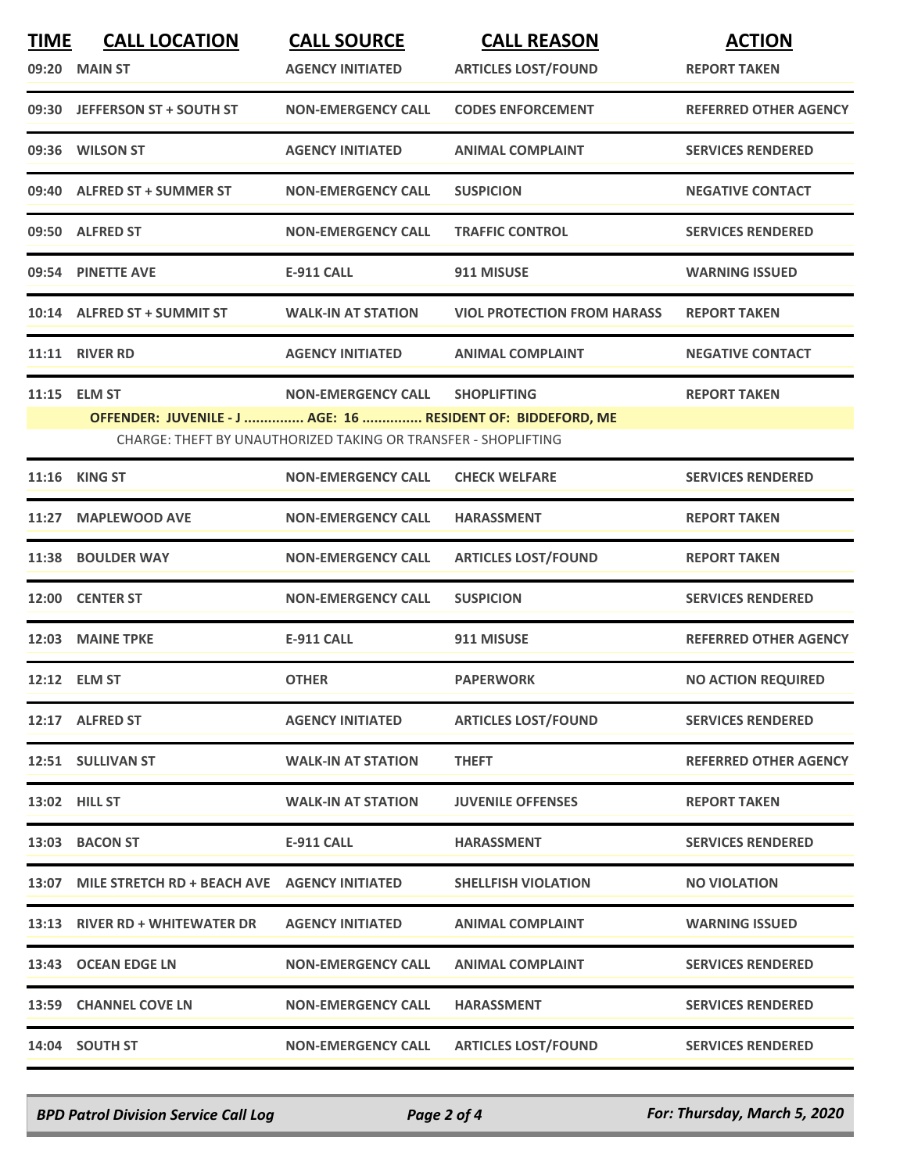| <b>TIME</b> | <b>CALL LOCATION</b>                                           | <b>CALL SOURCE</b>        | <b>CALL REASON</b>                 | <b>ACTION</b>                |  |  |
|-------------|----------------------------------------------------------------|---------------------------|------------------------------------|------------------------------|--|--|
|             | 09:20 MAIN ST                                                  | <b>AGENCY INITIATED</b>   | <b>ARTICLES LOST/FOUND</b>         | <b>REPORT TAKEN</b>          |  |  |
|             | 09:30 JEFFERSON ST + SOUTH ST                                  | <b>NON-EMERGENCY CALL</b> | <b>CODES ENFORCEMENT</b>           | <b>REFERRED OTHER AGENCY</b> |  |  |
|             | 09:36 WILSON ST                                                | <b>AGENCY INITIATED</b>   | <b>ANIMAL COMPLAINT</b>            | <b>SERVICES RENDERED</b>     |  |  |
|             | 09:40 ALFRED ST + SUMMER ST                                    | <b>NON-EMERGENCY CALL</b> | <b>SUSPICION</b>                   | <b>NEGATIVE CONTACT</b>      |  |  |
|             | 09:50 ALFRED ST                                                | <b>NON-EMERGENCY CALL</b> | <b>TRAFFIC CONTROL</b>             | <b>SERVICES RENDERED</b>     |  |  |
|             | 09:54 PINETTE AVE                                              | <b>E-911 CALL</b>         | 911 MISUSE                         | <b>WARNING ISSUED</b>        |  |  |
|             | 10:14 ALFRED ST + SUMMIT ST                                    | <b>WALK-IN AT STATION</b> | <b>VIOL PROTECTION FROM HARASS</b> | <b>REPORT TAKEN</b>          |  |  |
|             | 11:11 RIVER RD                                                 | <b>AGENCY INITIATED</b>   | <b>ANIMAL COMPLAINT</b>            | <b>NEGATIVE CONTACT</b>      |  |  |
|             | 11:15 ELM ST                                                   | <b>NON-EMERGENCY CALL</b> | <b>SHOPLIFTING</b>                 | <b>REPORT TAKEN</b>          |  |  |
|             | OFFENDER: JUVENILE - J  AGE: 16  RESIDENT OF: BIDDEFORD, ME    |                           |                                    |                              |  |  |
|             | CHARGE: THEFT BY UNAUTHORIZED TAKING OR TRANSFER - SHOPLIFTING |                           |                                    |                              |  |  |
|             | 11:16 KING ST                                                  | <b>NON-EMERGENCY CALL</b> | <b>CHECK WELFARE</b>               | <b>SERVICES RENDERED</b>     |  |  |
| 11:27       | <b>MAPLEWOOD AVE</b>                                           | <b>NON-EMERGENCY CALL</b> | <b>HARASSMENT</b>                  | <b>REPORT TAKEN</b>          |  |  |
|             | 11:38 BOULDER WAY                                              | <b>NON-EMERGENCY CALL</b> | <b>ARTICLES LOST/FOUND</b>         | <b>REPORT TAKEN</b>          |  |  |
|             | 12:00 CENTER ST                                                | <b>NON-EMERGENCY CALL</b> | <b>SUSPICION</b>                   | <b>SERVICES RENDERED</b>     |  |  |
|             | 12:03 MAINE TPKE                                               | <b>E-911 CALL</b>         | 911 MISUSE                         | <b>REFERRED OTHER AGENCY</b> |  |  |
|             | 12:12 ELM ST                                                   | <b>OTHER</b>              | <b>PAPERWORK</b>                   | <b>NO ACTION REQUIRED</b>    |  |  |
|             | 12:17 ALFRED ST                                                | <b>AGENCY INITIATED</b>   | <b>ARTICLES LOST/FOUND</b>         | <b>SERVICES RENDERED</b>     |  |  |
|             | 12:51 SULLIVAN ST                                              | <b>WALK-IN AT STATION</b> | <b>THEFT</b>                       | <b>REFERRED OTHER AGENCY</b> |  |  |
|             | <b>13:02 HILL ST</b>                                           | <b>WALK-IN AT STATION</b> | <b>JUVENILE OFFENSES</b>           | <b>REPORT TAKEN</b>          |  |  |
|             | 13:03 BACON ST                                                 | <b>E-911 CALL</b>         | <b>HARASSMENT</b>                  | <b>SERVICES RENDERED</b>     |  |  |
|             |                                                                |                           | <b>SHELLFISH VIOLATION</b>         | <b>NO VIOLATION</b>          |  |  |
|             | 13:13 RIVER RD + WHITEWATER DR                                 | <b>AGENCY INITIATED</b>   | <b>ANIMAL COMPLAINT</b>            | <b>WARNING ISSUED</b>        |  |  |
|             | 13:43 OCEAN EDGE LN                                            | <b>NON-EMERGENCY CALL</b> | <b>ANIMAL COMPLAINT</b>            | <b>SERVICES RENDERED</b>     |  |  |
|             | 13:59 CHANNEL COVE LN                                          | <b>NON-EMERGENCY CALL</b> | <b>HARASSMENT</b>                  | <b>SERVICES RENDERED</b>     |  |  |
|             | 14:04 SOUTH ST                                                 | <b>NON-EMERGENCY CALL</b> | <b>ARTICLES LOST/FOUND</b>         | <b>SERVICES RENDERED</b>     |  |  |

*BPD Patrol Division Service Call Log Page 2 of 4 For: Thursday, March 5, 2020*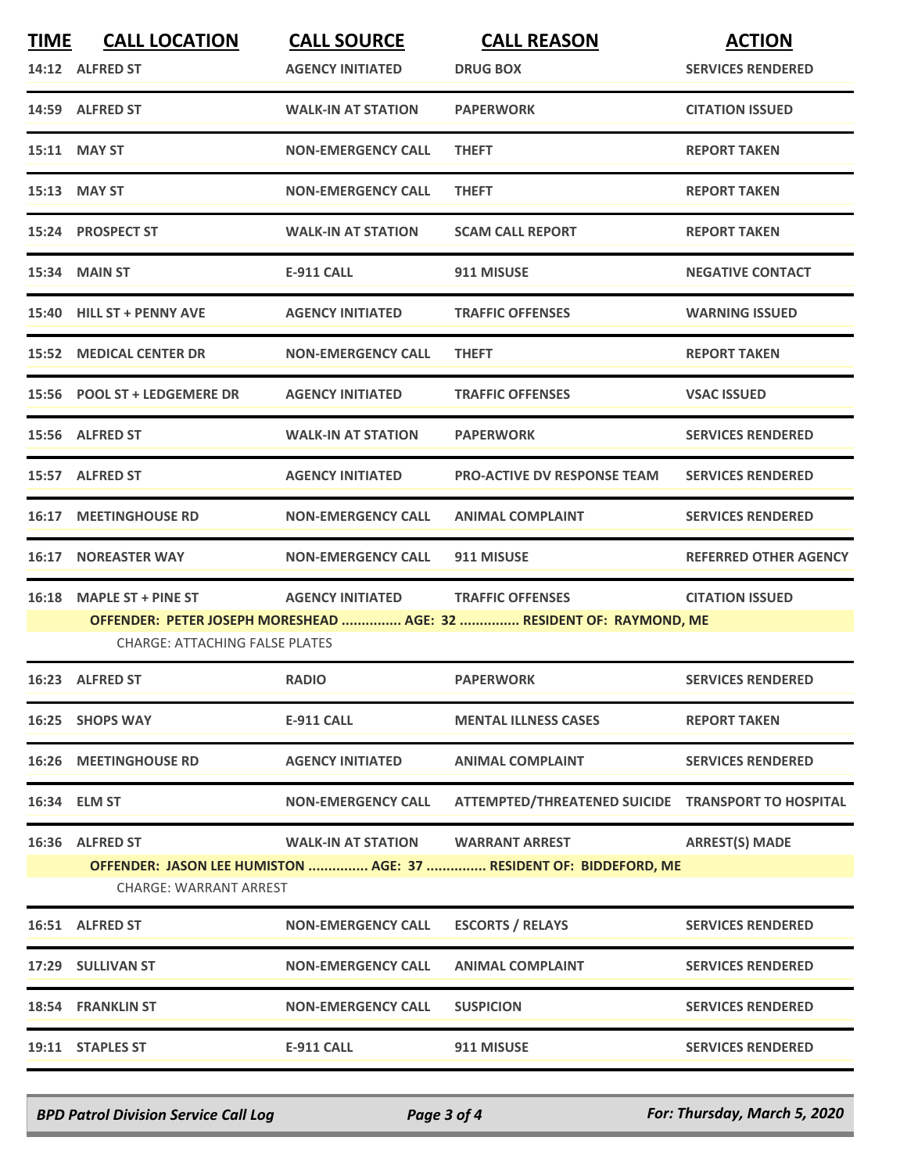| <b>TIME</b> | <b>CALL LOCATION</b>                                                                                         | <b>CALL SOURCE</b>        | <b>CALL REASON</b>                                 | <b>ACTION</b>                |  |  |
|-------------|--------------------------------------------------------------------------------------------------------------|---------------------------|----------------------------------------------------|------------------------------|--|--|
|             | 14:12 ALFRED ST                                                                                              | <b>AGENCY INITIATED</b>   | <b>DRUG BOX</b>                                    | <b>SERVICES RENDERED</b>     |  |  |
|             | 14:59 ALFRED ST                                                                                              | <b>WALK-IN AT STATION</b> | <b>PAPERWORK</b>                                   | <b>CITATION ISSUED</b>       |  |  |
|             | 15:11 MAY ST                                                                                                 | <b>NON-EMERGENCY CALL</b> | <b>THEFT</b>                                       | <b>REPORT TAKEN</b>          |  |  |
|             | 15:13 MAY ST                                                                                                 | <b>NON-EMERGENCY CALL</b> | <b>THEFT</b>                                       | <b>REPORT TAKEN</b>          |  |  |
|             | 15:24 PROSPECT ST                                                                                            | <b>WALK-IN AT STATION</b> | <b>SCAM CALL REPORT</b>                            | <b>REPORT TAKEN</b>          |  |  |
|             | 15:34 MAIN ST                                                                                                | <b>E-911 CALL</b>         | 911 MISUSE                                         | <b>NEGATIVE CONTACT</b>      |  |  |
|             | 15:40 HILL ST + PENNY AVE                                                                                    | <b>AGENCY INITIATED</b>   | <b>TRAFFIC OFFENSES</b>                            | <b>WARNING ISSUED</b>        |  |  |
|             | <b>15:52 MEDICAL CENTER DR</b>                                                                               | <b>NON-EMERGENCY CALL</b> | <b>THEFT</b>                                       | <b>REPORT TAKEN</b>          |  |  |
|             | 15:56 POOL ST + LEDGEMERE DR                                                                                 | <b>AGENCY INITIATED</b>   | <b>TRAFFIC OFFENSES</b>                            | <b>VSAC ISSUED</b>           |  |  |
|             | 15:56 ALFRED ST                                                                                              | <b>WALK-IN AT STATION</b> | <b>PAPERWORK</b>                                   | <b>SERVICES RENDERED</b>     |  |  |
|             | 15:57 ALFRED ST                                                                                              | <b>AGENCY INITIATED</b>   | <b>PRO-ACTIVE DV RESPONSE TEAM</b>                 | <b>SERVICES RENDERED</b>     |  |  |
|             | <b>16:17 MEETINGHOUSE RD</b>                                                                                 | <b>NON-EMERGENCY CALL</b> | <b>ANIMAL COMPLAINT</b>                            | <b>SERVICES RENDERED</b>     |  |  |
| 16:17       | <b>NOREASTER WAY</b>                                                                                         | <b>NON-EMERGENCY CALL</b> | 911 MISUSE                                         | <b>REFERRED OTHER AGENCY</b> |  |  |
| 16:18       | <b>MAPLE ST + PINE ST</b>                                                                                    | <b>AGENCY INITIATED</b>   | <b>TRAFFIC OFFENSES</b>                            | <b>CITATION ISSUED</b>       |  |  |
|             | OFFENDER: PETER JOSEPH MORESHEAD  AGE: 32  RESIDENT OF: RAYMOND, ME<br><b>CHARGE: ATTACHING FALSE PLATES</b> |                           |                                                    |                              |  |  |
|             | 16:23 ALFRED ST                                                                                              | <b>RADIO</b>              | <b>PAPERWORK</b>                                   | <b>SERVICES RENDERED</b>     |  |  |
|             | 16:25 SHOPS WAY                                                                                              | E-911 CALL                | <b>MENTAL ILLNESS CASES</b>                        | <b>REPORT TAKEN</b>          |  |  |
|             | <b>16:26 MEETINGHOUSE RD</b>                                                                                 | <b>AGENCY INITIATED</b>   | <b>ANIMAL COMPLAINT</b>                            | <b>SERVICES RENDERED</b>     |  |  |
|             | 16:34 ELM ST                                                                                                 | <b>NON-EMERGENCY CALL</b> | ATTEMPTED/THREATENED SUICIDE TRANSPORT TO HOSPITAL |                              |  |  |
|             | 16:36 ALFRED ST                                                                                              | <b>WALK-IN AT STATION</b> | <b>WARRANT ARREST</b>                              | <b>ARREST(S) MADE</b>        |  |  |
|             | OFFENDER: JASON LEE HUMISTON  AGE: 37  RESIDENT OF: BIDDEFORD, ME<br><b>CHARGE: WARRANT ARREST</b>           |                           |                                                    |                              |  |  |
|             | 16:51 ALFRED ST                                                                                              | <b>NON-EMERGENCY CALL</b> | <b>ESCORTS / RELAYS</b>                            | <b>SERVICES RENDERED</b>     |  |  |
|             | 17:29 SULLIVAN ST                                                                                            | <b>NON-EMERGENCY CALL</b> | <b>ANIMAL COMPLAINT</b>                            | <b>SERVICES RENDERED</b>     |  |  |
|             | 18:54 FRANKLIN ST                                                                                            | <b>NON-EMERGENCY CALL</b> | <b>SUSPICION</b>                                   | <b>SERVICES RENDERED</b>     |  |  |
|             | 19:11 STAPLES ST                                                                                             | <b>E-911 CALL</b>         | 911 MISUSE                                         | <b>SERVICES RENDERED</b>     |  |  |

*BPD Patrol Division Service Call Log Page 3 of 4 For: Thursday, March 5, 2020*